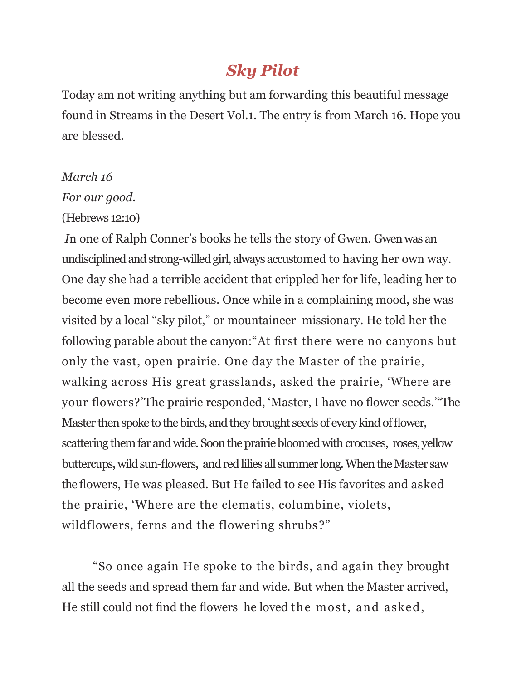## *Sky Pilot*

Today am not writing anything but am forwarding this beautiful message found in Streams in the Desert Vol.1. The entry is from March 16. Hope you are blessed.

## *March 16*

*For our good.*

(Hebrews 12:10)

*I*n one of Ralph Conner's books he tells the story of Gwen. Gwen was an undisciplined and strong-willed girl, always accustomed to having her own way. One day she had a terrible accident that crippled her for life, leading her to become even more rebellious. Once while in a complaining mood, she was visited by a local "sky pilot," or mountaineer missionary. He told her the following parable about the canyon: "At first there were no canyons but only the vast, open prairie. One day the Master of the prairie, walking across His great grasslands, asked the prairie, 'Where are your flowers?'The prairie responded, 'Master, I have no flower seeds.'"The Master then spoke to the birds, and they brought seeds of every kind of flower, scattering them far and wide. Soon the prairie bloomed with crocuses, roses, yellow buttercups,wild sun-flowers, and red lilies all summer long.When the Master saw theflowers, He was pleased. But He failed to see His favorites and asked the prairie, ‗Where are the clematis, columbine, violets, wildflowers, ferns and the flowering shrubs?"

―So once again He spoke to the birds, and again they brought all the seeds and spread them far and wide. But when the Master arrived, He still could not find the flowers he loved the most, and asked,